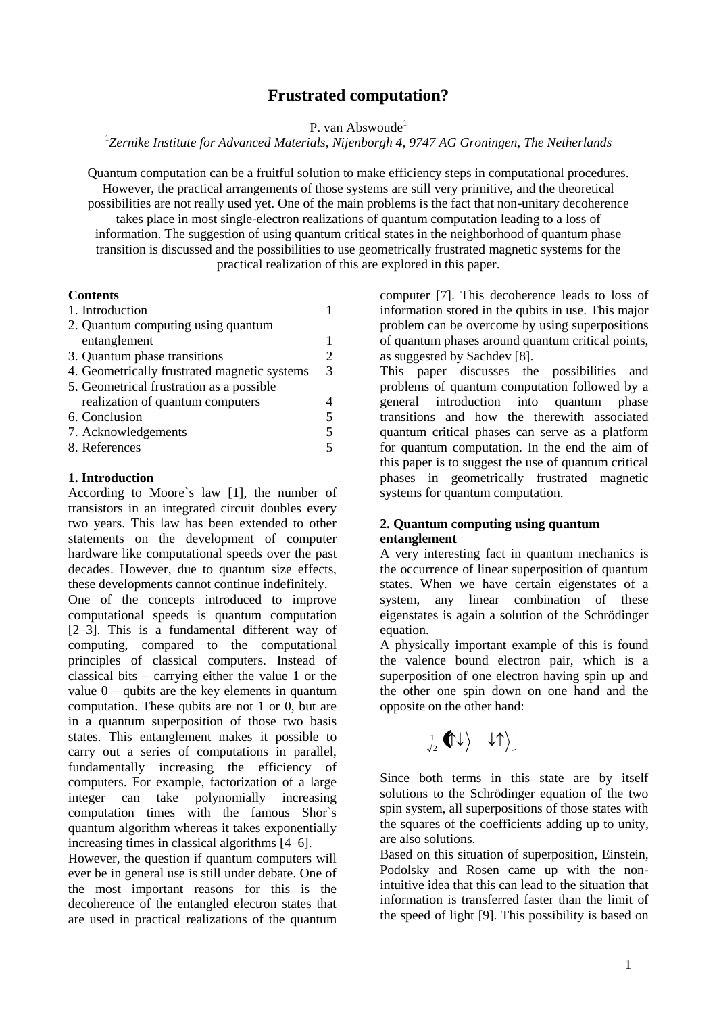# **Frustrated computation?**

P. van Abswoude<sup>1</sup>

1 *Zernike Institute for Advanced Materials, Nijenborgh 4, 9747 AG Groningen, The Netherlands*

Quantum computation can be a fruitful solution to make efficiency steps in computational procedures. However, the practical arrangements of those systems are still very primitive, and the theoretical possibilities are not really used yet. One of the main problems is the fact that non-unitary decoherence takes place in most single-electron realizations of quantum computation leading to a loss of information. The suggestion of using quantum critical states in the neighborhood of quantum phase transition is discussed and the possibilities to use geometrically frustrated magnetic systems for the practical realization of this are explored in this paper.

# **Contents**

| 1. Introduction                              |   |
|----------------------------------------------|---|
| 2. Quantum computing using quantum           |   |
| entanglement                                 |   |
| 3. Quantum phase transitions                 | 2 |
| 4. Geometrically frustrated magnetic systems | 3 |
| 5. Geometrical frustration as a possible     |   |
| realization of quantum computers             |   |
| 6. Conclusion                                | 5 |
| 7. Acknowledgements                          | 5 |
| 8. References                                |   |

# **1. Introduction**

According to Moore`s law [1], the number of transistors in an integrated circuit doubles every two years. This law has been extended to other statements on the development of computer hardware like computational speeds over the past decades. However, due to quantum size effects, these developments cannot continue indefinitely.

One of the concepts introduced to improve computational speeds is quantum computation [2–3]. This is a fundamental different way of computing, compared to the computational principles of classical computers. Instead of classical bits – carrying either the value 1 or the value  $0$  – qubits are the key elements in quantum computation. These qubits are not 1 or 0, but are in a quantum superposition of those two basis states. This entanglement makes it possible to carry out a series of computations in parallel, fundamentally increasing the efficiency of computers. For example, factorization of a large integer can take polynomially increasing computation times with the famous Shor`s quantum algorithm whereas it takes exponentially increasing times in classical algorithms [4–6].

However, the question if quantum computers will ever be in general use is still under debate. One of the most important reasons for this is the decoherence of the entangled electron states that are used in practical realizations of the quantum computer [7]. This decoherence leads to loss of information stored in the qubits in use. This major problem can be overcome by using superpositions of quantum phases around quantum critical points, as suggested by Sachdev [8].

This paper discusses the possibilities and problems of quantum computation followed by a general introduction into quantum phase transitions and how the therewith associated quantum critical phases can serve as a platform for quantum computation. In the end the aim of this paper is to suggest the use of quantum critical phases in geometrically frustrated magnetic systems for quantum computation.

# **2. Quantum computing using quantum entanglement**

A very interesting fact in quantum mechanics is the occurrence of linear superposition of quantum states. When we have certain eigenstates of a system, any linear combination of these eigenstates is again a solution of the Schrödinger equation.

A physically important example of this is found the valence bound electron pair, which is a superposition of one electron having spin up and the other one spin down on one hand and the opposite on the other hand:

2 1

Since both terms in this state are by itself solutions to the Schrödinger equation of the two spin system, all superpositions of those states with the squares of the coefficients adding up to unity, are also solutions.

Based on this situation of superposition, Einstein, Podolsky and Rosen came up with the nonintuitive idea that this can lead to the situation that information is transferred faster than the limit of the speed of light [9]. This possibility is based on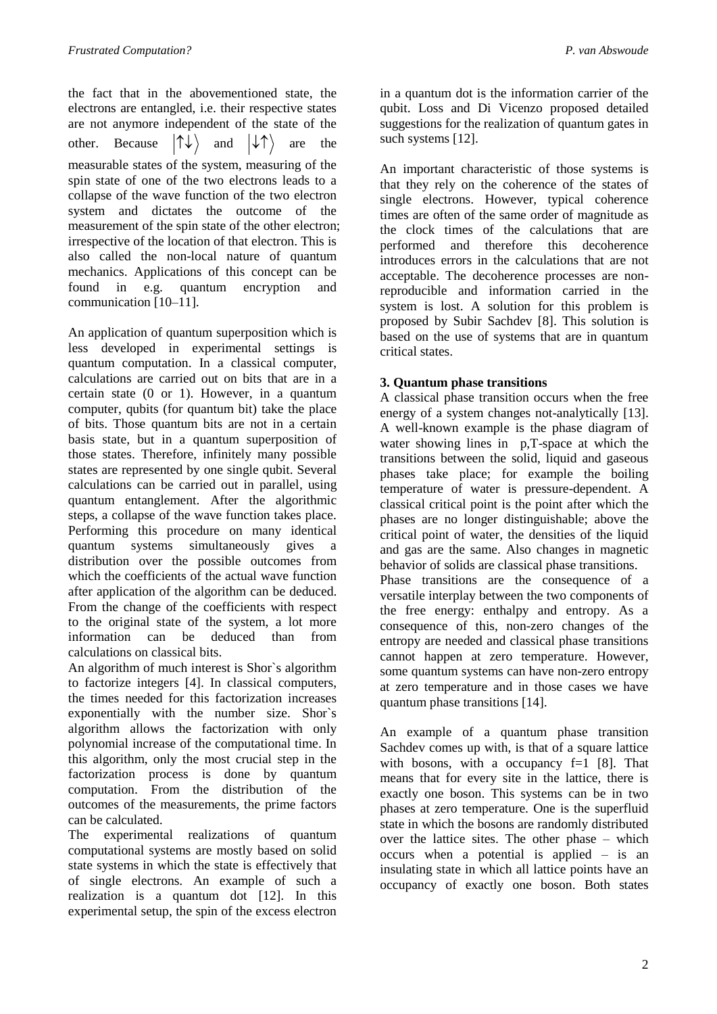the fact that in the abovementioned state, the electrons are entangled, i.e. their respective states are not anymore independent of the state of the other. Because  $|\uparrow\downarrow\rangle$  and  $|\downarrow\uparrow\rangle$  are the measurable states of the system, measuring of the spin state of one of the two electrons leads to a collapse of the wave function of the two electron system and dictates the outcome of the measurement of the spin state of the other electron; irrespective of the location of that electron. This is also called the non-local nature of quantum mechanics. Applications of this concept can be found in e.g. quantum encryption and communication [10–11].

An application of quantum superposition which is less developed in experimental settings is quantum computation. In a classical computer, calculations are carried out on bits that are in a certain state (0 or 1). However, in a quantum computer, qubits (for quantum bit) take the place of bits. Those quantum bits are not in a certain basis state, but in a quantum superposition of those states. Therefore, infinitely many possible states are represented by one single qubit. Several calculations can be carried out in parallel, using quantum entanglement. After the algorithmic steps, a collapse of the wave function takes place. Performing this procedure on many identical quantum systems simultaneously gives a distribution over the possible outcomes from which the coefficients of the actual wave function after application of the algorithm can be deduced. From the change of the coefficients with respect to the original state of the system, a lot more information can be deduced than from calculations on classical bits.

An algorithm of much interest is Shor`s algorithm to factorize integers [4]. In classical computers, the times needed for this factorization increases exponentially with the number size. Shor`s algorithm allows the factorization with only polynomial increase of the computational time. In this algorithm, only the most crucial step in the factorization process is done by quantum computation. From the distribution of the outcomes of the measurements, the prime factors can be calculated.

The experimental realizations of quantum computational systems are mostly based on solid state systems in which the state is effectively that of single electrons. An example of such a realization is a quantum dot [12]. In this experimental setup, the spin of the excess electron

in a quantum dot is the information carrier of the qubit. Loss and Di Vicenzo proposed detailed suggestions for the realization of quantum gates in such systems [12].

An important characteristic of those systems is that they rely on the coherence of the states of single electrons. However, typical coherence times are often of the same order of magnitude as the clock times of the calculations that are performed and therefore this decoherence introduces errors in the calculations that are not acceptable. The decoherence processes are nonreproducible and information carried in the system is lost. A solution for this problem is proposed by Subir Sachdev [8]. This solution is based on the use of systems that are in quantum critical states.

# **3. Quantum phase transitions**

A classical phase transition occurs when the free energy of a system changes not-analytically [13]. A well-known example is the phase diagram of water showing lines in p,T-space at which the transitions between the solid, liquid and gaseous phases take place; for example the boiling temperature of water is pressure-dependent. A classical critical point is the point after which the phases are no longer distinguishable; above the critical point of water, the densities of the liquid and gas are the same. Also changes in magnetic behavior of solids are classical phase transitions. Phase transitions are the consequence of a versatile interplay between the two components of the free energy: enthalpy and entropy. As a consequence of this, non-zero changes of the entropy are needed and classical phase transitions cannot happen at zero temperature. However, some quantum systems can have non-zero entropy at zero temperature and in those cases we have quantum phase transitions [14].

An example of a quantum phase transition Sachdev comes up with, is that of a square lattice with bosons, with a occupancy  $f=1$  [8]. That means that for every site in the lattice, there is exactly one boson. This systems can be in two phases at zero temperature. One is the superfluid state in which the bosons are randomly distributed over the lattice sites. The other phase – which occurs when a potential is applied – is an insulating state in which all lattice points have an occupancy of exactly one boson. Both states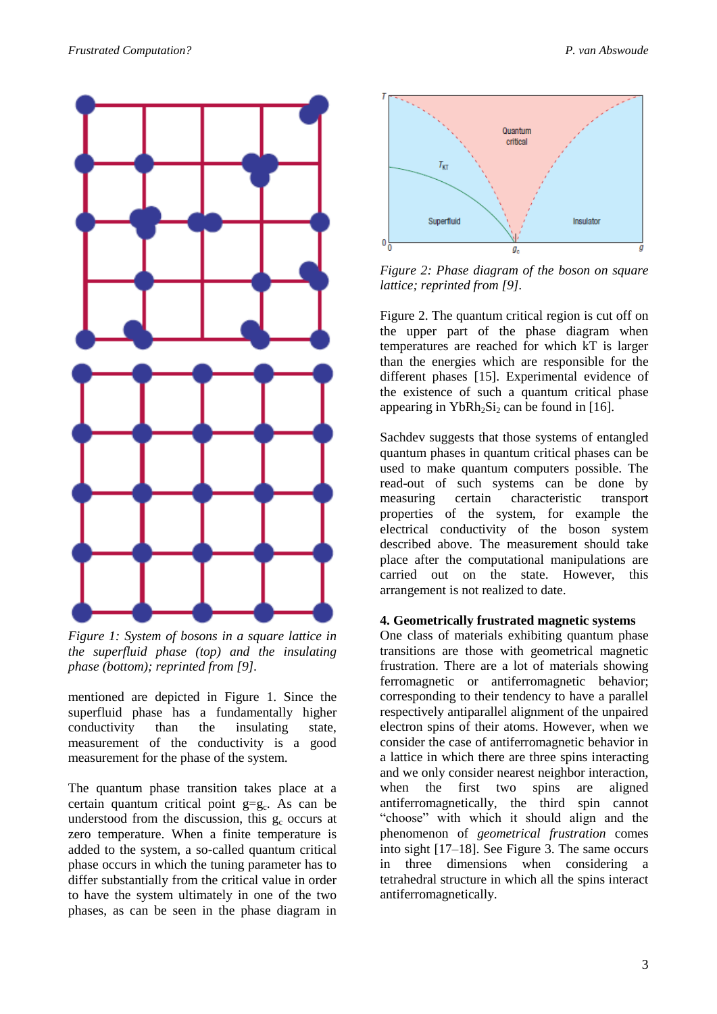

*Figure 1: System of bosons in a square lattice in the superfluid phase (top) and the insulating phase (bottom); reprinted from [9].*

mentioned are depicted in Figure 1. Since the superfluid phase has a fundamentally higher conductivity than the insulating state, measurement of the conductivity is a good measurement for the phase of the system.

The quantum phase transition takes place at a certain quantum critical point  $g = g_c$ . As can be understood from the discussion, this  $g_c$  occurs at zero temperature. When a finite temperature is added to the system, a so-called quantum critical phase occurs in which the tuning parameter has to differ substantially from the critical value in order to have the system ultimately in one of the two phases, as can be seen in the phase diagram in



*Figure 2: Phase diagram of the boson on square lattice; reprinted from [9].*

Figure 2. The quantum critical region is cut off on the upper part of the phase diagram when temperatures are reached for which kT is larger than the energies which are responsible for the different phases [15]. Experimental evidence of the existence of such a quantum critical phase appearing in  $YbRh_2Si_2$  can be found in [16].

Sachdev suggests that those systems of entangled quantum phases in quantum critical phases can be used to make quantum computers possible. The read-out of such systems can be done by measuring certain characteristic transport properties of the system, for example the electrical conductivity of the boson system described above. The measurement should take place after the computational manipulations are carried out on the state. However, this arrangement is not realized to date.

#### **4. Geometrically frustrated magnetic systems**

One class of materials exhibiting quantum phase transitions are those with geometrical magnetic frustration. There are a lot of materials showing ferromagnetic or antiferromagnetic behavior; corresponding to their tendency to have a parallel respectively antiparallel alignment of the unpaired electron spins of their atoms. However, when we consider the case of antiferromagnetic behavior in a lattice in which there are three spins interacting and we only consider nearest neighbor interaction, when the first two spins are aligned antiferromagnetically, the third spin cannot "choose" with which it should align and the phenomenon of *geometrical frustration* comes into sight [17–18]. See Figure 3. The same occurs in three dimensions when considering a tetrahedral structure in which all the spins interact antiferromagnetically.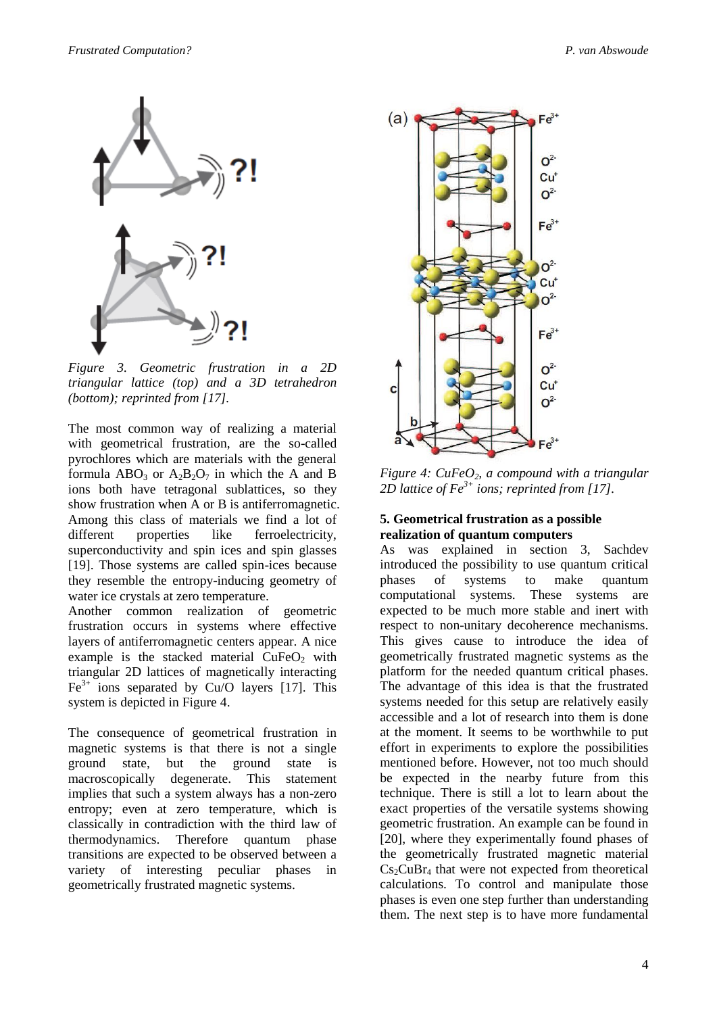

*Figure 3. Geometric frustration in a 2D triangular lattice (top) and a 3D tetrahedron (bottom); reprinted from [17].*

The most common way of realizing a material with geometrical frustration, are the so-called pyrochlores which are materials with the general formula  $ABO_3$  or  $A_2B_2O_7$  in which the A and B ions both have tetragonal sublattices, so they show frustration when A or B is antiferromagnetic. Among this class of materials we find a lot of different properties like ferroelectricity, superconductivity and spin ices and spin glasses [19]. Those systems are called spin-ices because they resemble the entropy-inducing geometry of water ice crystals at zero temperature.

Another common realization of geometric frustration occurs in systems where effective layers of antiferromagnetic centers appear. A nice example is the stacked material  $CuFeO<sub>2</sub>$  with triangular 2D lattices of magnetically interacting  $Fe<sup>3+</sup>$  ions separated by Cu/O layers [17]. This system is depicted in Figure 4.

The consequence of geometrical frustration in magnetic systems is that there is not a single ground state, but the ground state is macroscopically degenerate. This statement implies that such a system always has a non-zero entropy; even at zero temperature, which is classically in contradiction with the third law of thermodynamics. Therefore quantum phase transitions are expected to be observed between a variety of interesting peculiar phases in geometrically frustrated magnetic systems.



*Figure 4: CuFeO2, a compound with a triangular 2D lattice of Fe3+ ions; reprinted from [17].*

# **5. Geometrical frustration as a possible realization of quantum computers**

As was explained in section 3, Sachdev introduced the possibility to use quantum critical phases of systems to make quantum computational systems. These systems are expected to be much more stable and inert with respect to non-unitary decoherence mechanisms. This gives cause to introduce the idea of geometrically frustrated magnetic systems as the platform for the needed quantum critical phases. The advantage of this idea is that the frustrated systems needed for this setup are relatively easily accessible and a lot of research into them is done at the moment. It seems to be worthwhile to put effort in experiments to explore the possibilities mentioned before. However, not too much should be expected in the nearby future from this technique. There is still a lot to learn about the exact properties of the versatile systems showing geometric frustration. An example can be found in [20], where they experimentally found phases of the geometrically frustrated magnetic material  $Cs<sub>2</sub>CuBr<sub>4</sub>$  that were not expected from theoretical calculations. To control and manipulate those phases is even one step further than understanding them. The next step is to have more fundamental